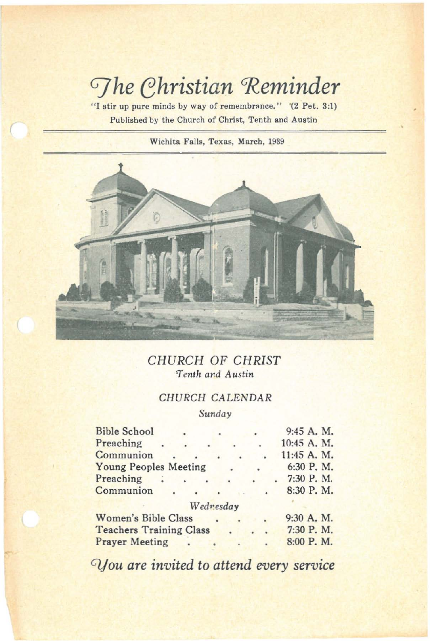# *Ghristian* Reminder

**"I stir up pure minds by way of** remembr~nce." **"(2 Pet. 3:1) Published by the Church of Christ, Tenth and Austin**

(

**Wichita Falls, Texas, March, 1939**



## *CHURCH* OF *CHRIST 'Tenth and Austin*

## CHURCH CALENDAR

*Sunday*

| <b>Bible School</b>            |  |           |  |  | 9:45 A. M.  |
|--------------------------------|--|-----------|--|--|-------------|
| Preaching                      |  |           |  |  | 10:45 A. M. |
| Communion                      |  |           |  |  | 11:45 A. M. |
| <b>Young Peoples Meeting</b>   |  |           |  |  | 6:30 P.M.   |
| Preaching                      |  |           |  |  | 7:30 P.M.   |
| Communion                      |  |           |  |  | 8:30 P.M.   |
|                                |  | Wednesday |  |  |             |
| <b>Women's Bible Class</b>     |  |           |  |  | 9:30 A. M.  |
| <b>Teachers Training Class</b> |  |           |  |  | 7:30 P.M.   |
| <b>Prayer Meeting</b>          |  |           |  |  | 8:00 P.M.   |
|                                |  |           |  |  |             |

*0jou are invited* to *attend every service*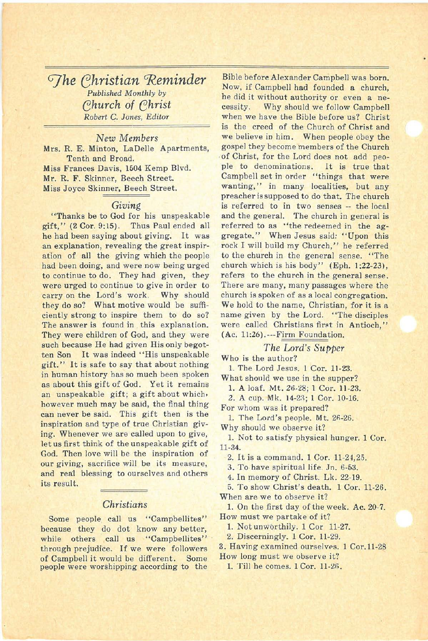*G]he Christian 'Reminder Published Monthly by «;hurch of «;hrist Robert* C. *Jones, Editor*

*New Members* Mrs. R. E. Minton, LaDelle Apartments, Tenth and Broad. Miss Frances Davis, 1604 Kemp Blvd. Mr. R. F. Skinner, Beech Street. Miss Joyce Skinner, Beech Street.

#### *Giving*

"Thanks be to God for his unspeakable gift," (2 Cor. 9:15). Thus Paul ended all he had been saying about giving. It was an explanation, revealing the great inspiration of all the giving which the people had been doing, and were now being urged to continue to do. They had given, they were urged to continue to give in order to carry on the Lord's work. Why should they do so? What motive would be sufficiently strong to inspire them to do so? The answer is found in this explanation. They were children of God, and they were such because He had given His only begotten Son It was indeed "His unspeakable gift." It is safe to say that about nothing in human history has so much been spoken as about this gift of God. Yet it remains an unspeakable gift; a gift about which, however much may be said, the final thing can never be said. This gift then is the inspiration and type of true Christian giving. Whenever we are called upon to give, let us first think of the unspeakable gift of God. Then love will be the inspiration of our giving, sacrifice will be its measure, and real blessing to ourselves and olhers its result.

### *Christians*

Some people call us "Campbellites" because they do dot know any better, while others call us "Campbellites" through prejudice. If we were followers of Campbell it would be different. Some people were worshipping according to the

Bible before Alexander Campbell was born. Now, if Campbell had founded a church, he did it without authority or even a necessity. Why should we follow Campbell when we have the Bible before us? Christ is the creed of the Church of Christ and we believe in him. When people obey the gospel they become members of the Church of Christ, for the Lord does not add people to denominations. It is true that Campbell set in order "things that were wanting," in many localities, but any preacher is supposed to do that. The church is referred to in two senses -- the local and the general. The church in general is referred to as "the redeemed in the aggregate." When Jesus said: "Upon this rock I will build my Church," he referred to the church in the general sense. "The church which is his body" (Eph. 1:22~23), refers to the church in the general sense. There are many, many passages where the church is spoken of as a local congregation. We hold to the name, Christian, for it is a name given by the Lord. "The disciples were called Christians first in Antioch," (Ac. 11:26).~-~Firm Foundation.

### *The Lord's Supper*

Who is the author?

1. The Lord Jesus. 1 Cor. 11-23.

What should we use in the supper?

1. A loaf. Mt. 26-28; 1 Cor. 11-23.

2. A cup. Mk. 14-23; 1 Cor. 10-16.

For whom was it prepared?

1. The Lord's people. Mt. 26-26. Why should we observe it?

1. Not to satisfy physical hunger. 1 Cor. 11·34.

2. It is <sup>a</sup> command. <sup>1</sup> Cor. 11-24,25.

3. To have spiritual life. In. 6-53.

4. In memory of Christ. Lk. 22-19.

5. To show Christ's death. 1 Cor. 11-26. When are we to observe it?

1. On the first day of the week. Ac.20-7. How must we partake of it?

1. Not unworthily. 1 Cor 11-27.

2. Discerningly. 1 Cor. 11-29.

3. Having examined ourselves. 1 Cor.11-28 How long must we observe it?

1. Till he comes. 1 Cor. 11-2fi.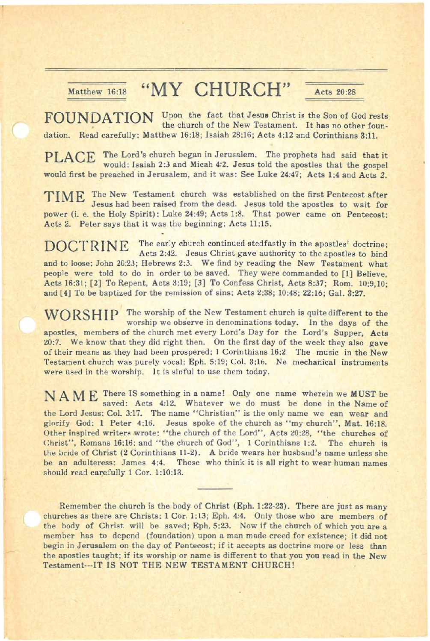## Matthew 16:18 "MY CHURCH" Acts 20:28

FOUNDATION Upon the fact that Jesus Christ is the Son of God rests the church of the New Testament. It has no other foundation. Read carefully: Matthew 16:18; Isaiah 28:16; Acts 4:12 and Corinthians 3:11.

PLACE The Lord's church began in Jerusalem. The prophets had said that it would: Isaiah 2:3 and Micah 4:2. Jesus told the apostles that the gospel would first be preached in Jerusalem, and it was: See Luke 24:47; Acts 1:4 and Acts 2.

TIME The New Testament church was established on the first Pentecost after Jesus had been raised from the dead. Jesus told the apostles to wait for power (i. e. the Holy Spirit): Luke 24:49; Acts 1:8. That power came on Pentecost: Acts 2. Peter says that it was the beginning: Acts 11;15.

DOCTRINE The early church continued stedfastly in the apostles' doctrine: Acts 2:42. Jesus Christ gave authority to the apostles to bind and to loose: John 20:23: Hebrews 2:3. We find by reading the New Testament what people were told to do in order to be saved. They were commanded to [1] Believe, Acts 16:31; [2] To Repent, Acts 3:19; [3] To Confess Christ, Acts 8:37; Rom. 10:9.10; and [4] To be baptized for the remission of sins: Acts 2:38; 10:48: 22:16; Gal. 3:27.

WORSHIP The worship of the New Testament church is quite different to the worship we observe in denominations today. In the days of the apostles, members of the church met every Lord's Day for the Lord's Supper, Acts 20:7. We know that they did right then. On the first day of the week they also gave of their means as they had been prospered: 1 Corinthians 16:2. The music in the New Testament church was purely vocal: Eph. 5:19; Col. 3:16. Ne mechanical instruments were used in the worship. 1t is sinful to use them today.

N A M E There IS something in <sup>a</sup> name! Only one name wherein we MUST be saved: Acts 4:12. Whatever we do must be done in the Name of the Lord Jesus: Col. 3:17. The name "Christian" is the only name we can wear and glorify God: 1 Peter 4:16. Jesus spoke of the church as "my church", Mat. 16:18. Other inspired writers wrote: "the church of the Lord", Acts 20:28, "the churches of Christ", Romans 16:16: and "the church of God", I Corinthians 1:2. The church is the bride of Christ (2 Corinthians 11-2). A bride wears her husband's name unless she be an adulteress: James 4:4. Those who think it is all right to wear human names should read carefully 1 Cor. 1:10:13.

Remember the church is the body of Christ (Eph. 1;22·23). There are just as many churches as there are Christs: 1 Cor. 1:13; Eph. 4:4. Only those who are members of the body of Christ will be saved; Eph. 5:23. Now if the church of which you are a member has to depend (foundation) upon a man made creed for existence; it did not begin in Jerusalem on the day of Pentecost; if it accepts as doctrine more or less than the apostles taught; if its worship or name is different to that you you read in the New Testament···IT IS NOT THE NEW TESTAMENT CHURCHl